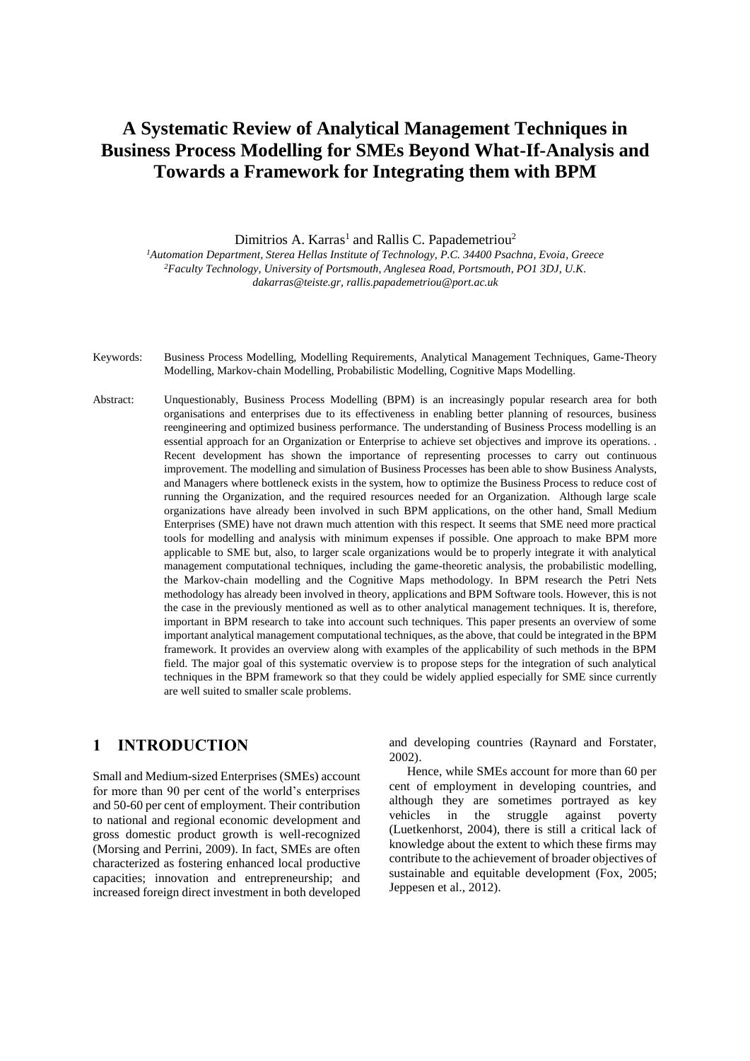# **A Systematic Review of Analytical Management Techniques in Business Process Modelling for SMEs Beyond What-If-Analysis and Towards a Framework for Integrating them with BPM**

Dimitrios A. Karras<sup>1</sup> and Rallis C. Papademetriou<sup>2</sup>

*<sup>1</sup>Automation Department, Sterea Hellas Institute of Technology, P.C. 34400 Psachna, Evoia, Greece <sup>2</sup>Faculty Technology, University of Portsmouth, Anglesea Road, Portsmouth, PO1 3DJ, U.K. dakarras@teiste.gr, rallis.papademetriou@port.ac.uk*

- Keywords: Business Process Modelling, Modelling Requirements, Analytical Management Techniques, Game-Theory Modelling, Markov-chain Modelling, Probabilistic Modelling, Cognitive Maps Modelling.
- Abstract: Unquestionably, Business Process Modelling (BPM) is an increasingly popular research area for both organisations and enterprises due to its effectiveness in enabling better planning of resources, business reengineering and optimized business performance. The understanding of Business Process modelling is an essential approach for an Organization or Enterprise to achieve set objectives and improve its operations. . Recent development has shown the importance of representing processes to carry out continuous improvement. The modelling and simulation of Business Processes has been able to show Business Analysts, and Managers where bottleneck exists in the system, how to optimize the Business Process to reduce cost of running the Organization, and the required resources needed for an Organization. Although large scale organizations have already been involved in such BPM applications, on the other hand, Small Medium Enterprises (SME) have not drawn much attention with this respect. It seems that SME need more practical tools for modelling and analysis with minimum expenses if possible. One approach to make BPM more applicable to SME but, also, to larger scale organizations would be to properly integrate it with analytical management computational techniques, including the game-theoretic analysis, the probabilistic modelling, the Markov-chain modelling and the Cognitive Maps methodology. In BPM research the Petri Nets methodology has already been involved in theory, applications and BPM Software tools. However, this is not the case in the previously mentioned as well as to other analytical management techniques. It is, therefore, important in BPM research to take into account such techniques. This paper presents an overview of some important analytical management computational techniques, as the above, that could be integrated in the BPM framework. It provides an overview along with examples of the applicability of such methods in the BPM field. The major goal of this systematic overview is to propose steps for the integration of such analytical techniques in the BPM framework so that they could be widely applied especially for SME since currently are well suited to smaller scale problems.

## **1 INTRODUCTION**

Small and Medium-sized Enterprises (SMEs) account for more than 90 per cent of the world's enterprises and 50-60 per cent of employment. Their contribution to national and regional economic development and gross domestic product growth is well-recognized (Morsing and Perrini, 2009). In fact, SMEs are often characterized as fostering enhanced local productive capacities; innovation and entrepreneurship; and increased foreign direct investment in both developed and developing countries (Raynard and Forstater, 2002).

Hence, while SMEs account for more than 60 per cent of employment in developing countries, and although they are sometimes portrayed as key vehicles in the struggle against poverty (Luetkenhorst, 2004), there is still a critical lack of knowledge about the extent to which these firms may contribute to the achievement of broader objectives of sustainable and equitable development (Fox, 2005; Jeppesen et al., 2012).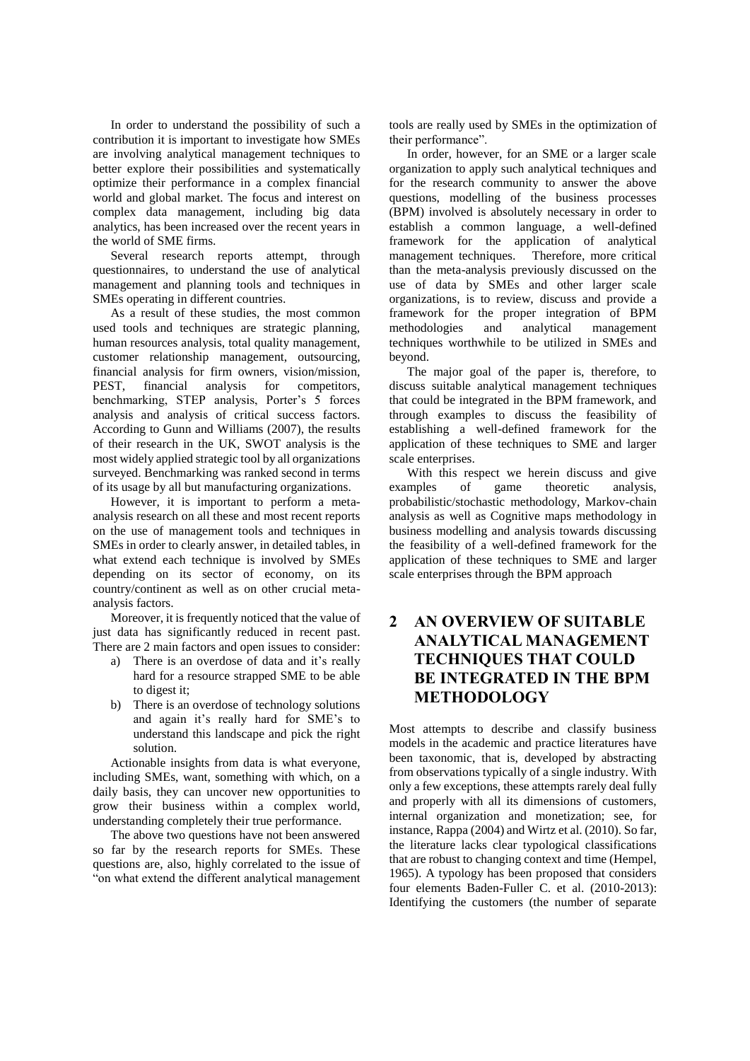In order to understand the possibility of such a contribution it is important to investigate how SMEs are involving analytical management techniques to better explore their possibilities and systematically optimize their performance in a complex financial world and global market. The focus and interest on complex data management, including big data analytics, has been increased over the recent years in the world of SME firms.

Several research reports attempt, through questionnaires, to understand the use of analytical management and planning tools and techniques in SMEs operating in different countries.

As a result of these studies, the most common used tools and techniques are strategic planning, human resources analysis, total quality management, customer relationship management, outsourcing, financial analysis for firm owners, vision/mission, PEST, financial analysis for competitors, benchmarking, STEP analysis, Porter's 5 forces analysis and analysis of critical success factors. According to Gunn and Williams (2007), the results of their research in the UK, SWOT analysis is the most widely applied strategic tool by all organizations surveyed. Benchmarking was ranked second in terms of its usage by all but manufacturing organizations.

However, it is important to perform a metaanalysis research on all these and most recent reports on the use of management tools and techniques in SMEs in order to clearly answer, in detailed tables, in what extend each technique is involved by SMEs depending on its sector of economy, on its country/continent as well as on other crucial metaanalysis factors.

Moreover, it is frequently noticed that the value of just data has significantly reduced in recent past. There are 2 main factors and open issues to consider:

- a) There is an overdose of data and it's really hard for a resource strapped SME to be able to digest it;
- b) There is an overdose of technology solutions and again it's really hard for SME's to understand this landscape and pick the right solution.

Actionable insights from data is what everyone, including SMEs, want, something with which, on a daily basis, they can uncover new opportunities to grow their business within a complex world, understanding completely their true performance.

The above two questions have not been answered so far by the research reports for SMEs. These questions are, also, highly correlated to the issue of "on what extend the different analytical management tools are really used by SMEs in the optimization of their performance".

In order, however, for an SME or a larger scale organization to apply such analytical techniques and for the research community to answer the above questions, modelling of the business processes (BPM) involved is absolutely necessary in order to establish a common language, a well-defined framework for the application of analytical management techniques. Therefore, more critical than the meta-analysis previously discussed on the use of data by SMEs and other larger scale organizations, is to review, discuss and provide a framework for the proper integration of BPM methodologies and analytical management techniques worthwhile to be utilized in SMEs and beyond.

The major goal of the paper is, therefore, to discuss suitable analytical management techniques that could be integrated in the BPM framework, and through examples to discuss the feasibility of establishing a well-defined framework for the application of these techniques to SME and larger scale enterprises.

With this respect we herein discuss and give examples of game theoretic analysis, probabilistic/stochastic methodology, Markov-chain analysis as well as Cognitive maps methodology in business modelling and analysis towards discussing the feasibility of a well-defined framework for the application of these techniques to SME and larger scale enterprises through the BPM approach

# **2 AN OVERVIEW OF SUITABLE ANALYTICAL MANAGEMENT TECHNIQUES THAT COULD BE INTEGRATED IN THE BPM METHODOLOGY**

Most attempts to describe and classify business models in the academic and practice literatures have been taxonomic, that is, developed by abstracting from observations typically of a single industry. With only a few exceptions, these attempts rarely deal fully and properly with all its dimensions of customers, internal organization and monetization; see, for instance, Rappa (2004) and Wirtz et al. (2010). So far, the literature lacks clear typological classifications that are robust to changing context and time (Hempel, 1965). A typology has been proposed that considers four elements Baden-Fuller C. et al. (2010-2013): Identifying the customers (the number of separate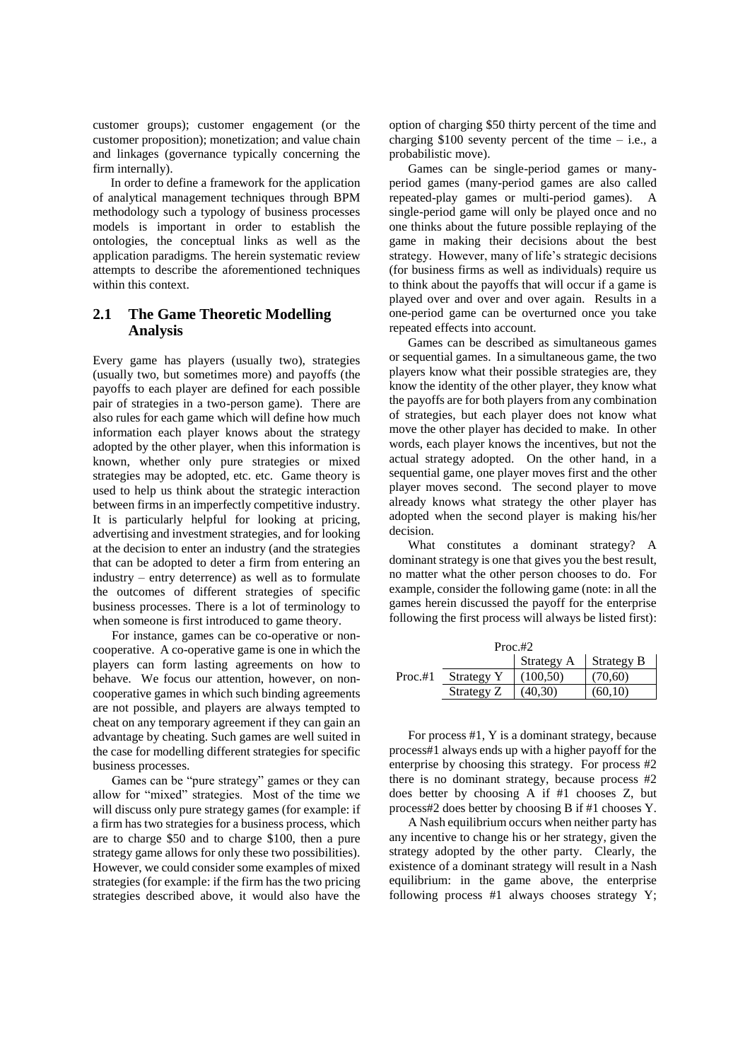customer groups); customer engagement (or the customer proposition); monetization; and value chain and linkages (governance typically concerning the firm internally).

In order to define a framework for the application of analytical management techniques through BPM methodology such a typology of business processes models is important in order to establish the ontologies, the conceptual links as well as the application paradigms. The herein systematic review attempts to describe the aforementioned techniques within this context.

## **2.1 The Game Theoretic Modelling Analysis**

Every game has players (usually two), strategies (usually two, but sometimes more) and payoffs (the payoffs to each player are defined for each possible pair of strategies in a two-person game). There are also rules for each game which will define how much information each player knows about the strategy adopted by the other player, when this information is known, whether only pure strategies or mixed strategies may be adopted, etc. etc. Game theory is used to help us think about the strategic interaction between firms in an imperfectly competitive industry. It is particularly helpful for looking at pricing, advertising and investment strategies, and for looking at the decision to enter an industry (and the strategies that can be adopted to deter a firm from entering an industry – entry deterrence) as well as to formulate the outcomes of different strategies of specific business processes. There is a lot of terminology to when someone is first introduced to game theory.

For instance, games can be co-operative or noncooperative. A co-operative game is one in which the players can form lasting agreements on how to behave. We focus our attention, however, on noncooperative games in which such binding agreements are not possible, and players are always tempted to cheat on any temporary agreement if they can gain an advantage by cheating. Such games are well suited in the case for modelling different strategies for specific business processes.

Games can be "pure strategy" games or they can allow for "mixed" strategies. Most of the time we will discuss only pure strategy games (for example: if a firm has two strategies for a business process, which are to charge \$50 and to charge \$100, then a pure strategy game allows for only these two possibilities). However, we could consider some examples of mixed strategies (for example: if the firm has the two pricing strategies described above, it would also have the

option of charging \$50 thirty percent of the time and charging  $$100$  seventy percent of the time – i.e., a probabilistic move).

Games can be single-period games or manyperiod games (many-period games are also called repeated-play games or multi-period games). A single-period game will only be played once and no one thinks about the future possible replaying of the game in making their decisions about the best strategy. However, many of life's strategic decisions (for business firms as well as individuals) require us to think about the payoffs that will occur if a game is played over and over and over again. Results in a one-period game can be overturned once you take repeated effects into account.

Games can be described as simultaneous games or sequential games. In a simultaneous game, the two players know what their possible strategies are, they know the identity of the other player, they know what the payoffs are for both players from any combination of strategies, but each player does not know what move the other player has decided to make. In other words, each player knows the incentives, but not the actual strategy adopted. On the other hand, in a sequential game, one player moves first and the other player moves second. The second player to move already knows what strategy the other player has adopted when the second player is making his/her decision.

What constitutes a dominant strategy? A dominant strategy is one that gives you the best result, no matter what the other person chooses to do. For example, consider the following game (note: in all the games herein discussed the payoff for the enterprise following the first process will always be listed first):

| $Proc. \#2$ |                   |            |                   |
|-------------|-------------------|------------|-------------------|
|             |                   | Strategy A | <b>Strategy B</b> |
| $Proc. \#1$ | <b>Strategy Y</b> | (100, 50)  | (70,60)           |
|             | Strategy Z        | (40,30)    | (60,10)           |

For process #1, Y is a dominant strategy, because process#1 always ends up with a higher payoff for the enterprise by choosing this strategy. For process #2 there is no dominant strategy, because process #2 does better by choosing A if #1 chooses Z, but process#2 does better by choosing B if #1 chooses Y.

A Nash equilibrium occurs when neither party has any incentive to change his or her strategy, given the strategy adopted by the other party. Clearly, the existence of a dominant strategy will result in a Nash equilibrium: in the game above, the enterprise following process #1 always chooses strategy Y;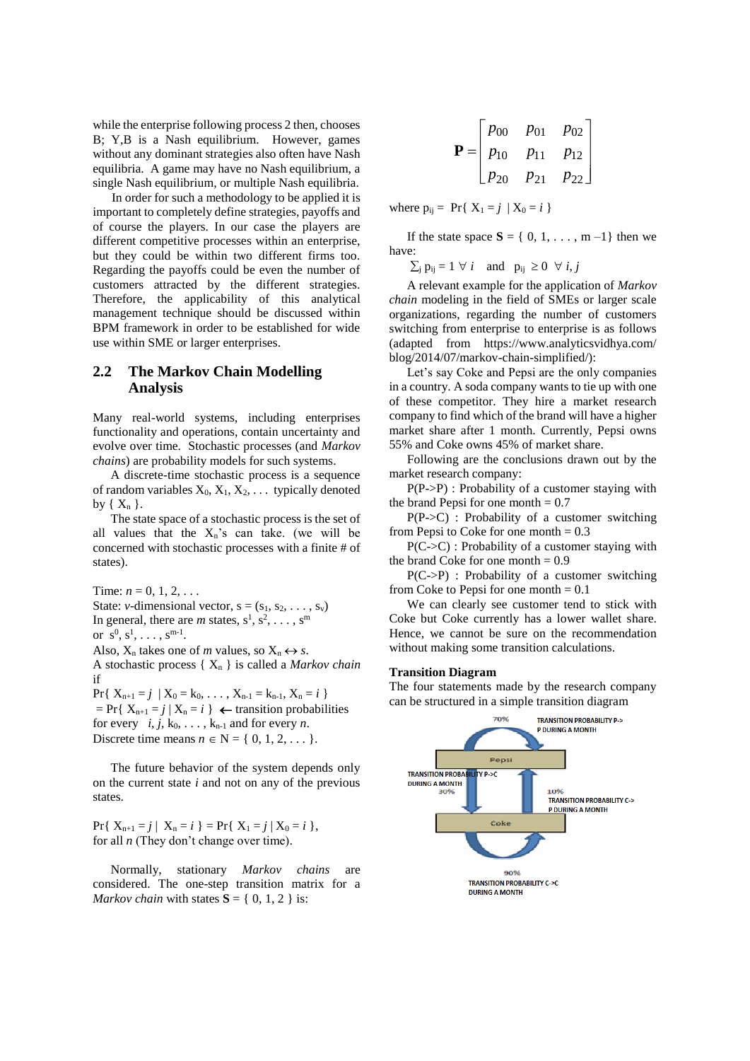while the enterprise following process 2 then, chooses B; Y,B is a Nash equilibrium. However, games without any dominant strategies also often have Nash equilibria. A game may have no Nash equilibrium, a single Nash equilibrium, or multiple Nash equilibria.

In order for such a methodology to be applied it is important to completely define strategies, payoffs and of course the players. In our case the players are different competitive processes within an enterprise, but they could be within two different firms too. Regarding the payoffs could be even the number of customers attracted by the different strategies. Therefore, the applicability of this analytical management technique should be discussed within BPM framework in order to be established for wide use within SME or larger enterprises.

### **2.2 The Markov Chain Modelling Analysis**

Many real-world systems, including enterprises functionality and operations, contain uncertainty and evolve over time. Stochastic processes (and *Markov chains*) are probability models for such systems.

A discrete-time stochastic process is a sequence of random variables  $X_0, X_1, X_2, \ldots$  typically denoted by  $\{X_n\}$ .

The state space of a stochastic process is the set of all values that the  $X_n$ 's can take. (we will be concerned with stochastic processes with a finite # of states).

Time:  $n = 0, 1, 2, ...$ State: *v*-dimensional vector,  $s = (s_1, s_2, \ldots, s_v)$ In general, there are *m* states,  $s^1$ ,  $s^2$ , ...,  $s^m$ or  $s^0, s^1, \ldots, s^{m-1}$ .

Also,  $X_n$  takes one of *m* values, so  $X_n \leftrightarrow s$ .

A stochastic process { X<sup>n</sup> } is called a *Markov chain* if

 $Pr\{ X_{n+1} = j \mid X_0 = k_0, \ldots, X_{n-1} = k_{n-1}, X_n = i \}$  $= Pr\{ X_{n+1} = j | X_n = i \} \leftarrow$  transition probabilities for every  $i, j, k_0, \ldots, k_{n-1}$  and for every *n*. Discrete time means  $n \in N = \{ 0, 1, 2, ... \}.$ 

The future behavior of the system depends only on the current state *i* and not on any of the previous states.

 $Pr\{ X_{n+1} = j \mid X_n = i \} = Pr\{ X_1 = j \mid X_0 = i \},$ for all *n* (They don't change over time).

Normally, stationary *Markov chains* are considered. The one-step transition matrix for a *Markov chain* with states  $S = \{ 0, 1, 2 \}$  is:

$$
\mathbf{P} = \begin{bmatrix} p_{00} & p_{01} & p_{02} \\ p_{10} & p_{11} & p_{12} \\ p_{20} & p_{21} & p_{22} \end{bmatrix}
$$

where  $p_{ij} = Pr\{ X_1 = j \mid X_0 = i \}$ 

If the state space  $S = \{ 0, 1, \ldots, m-1 \}$  then we have:

 $\sum_j p_{ij} = 1 \ \forall \ i$  and  $p_{ij} \geq 0 \ \forall \ i, j$ 

A relevant example for the application of *Markov chain* modeling in the field of SMEs or larger scale organizations, regarding the number of customers switching from enterprise to enterprise is as follows (adapted from https://www.analyticsvidhya.com/ blog/2014/07/markov-chain-simplified/):

Let's say Coke and Pepsi are the only companies in a country. A soda company wants to tie up with one of these competitor. They hire a market research company to find which of the brand will have a higher market share after 1 month. Currently, Pepsi owns 55% and Coke owns 45% of market share.

Following are the conclusions drawn out by the market research company:

 $P(P \rightarrow P)$ : Probability of a customer staying with the brand Pepsi for one month  $= 0.7$ 

P(P->C) : Probability of a customer switching from Pepsi to Coke for one month  $= 0.3$ 

 $P(C\rightarrow C)$ : Probability of a customer staying with the brand Coke for one month  $= 0.9$ 

 $P(C\rightarrow P)$ : Probability of a customer switching from Coke to Pepsi for one month  $= 0.1$ 

We can clearly see customer tend to stick with Coke but Coke currently has a lower wallet share. Hence, we cannot be sure on the recommendation without making some transition calculations.

#### **Transition Diagram**

The four statements made by the research company can be structured in a simple transition diagram

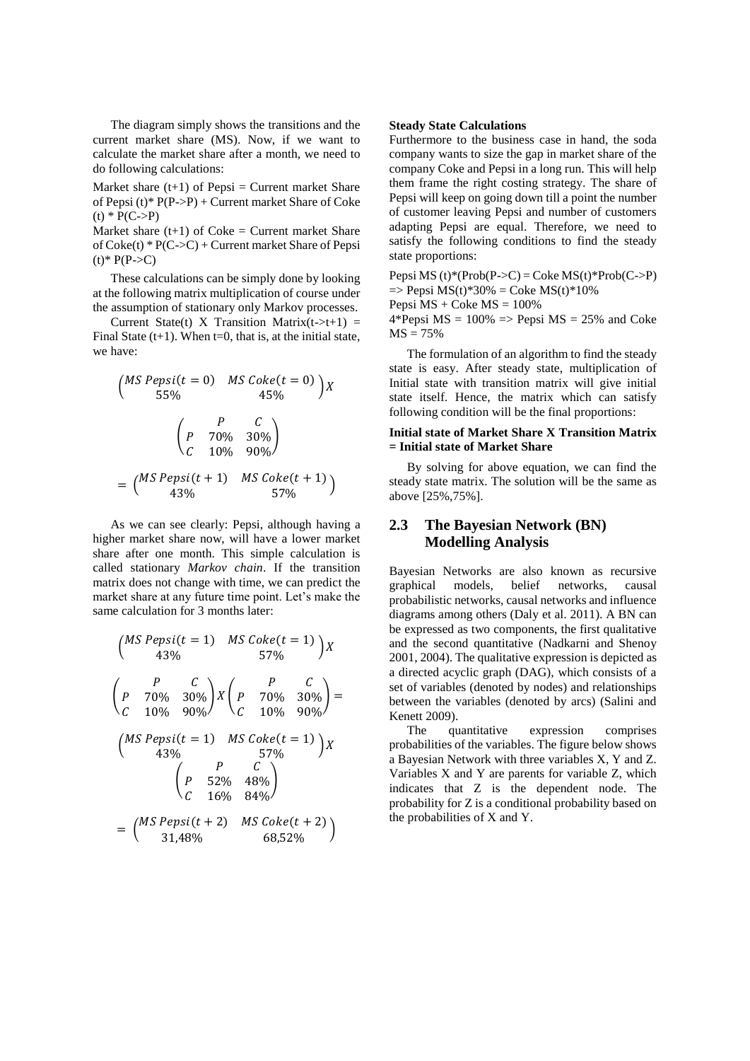The diagram simply shows the transitions and the current market share (MS). Now, if we want to calculate the market share after a month, we need to do following calculations:

Market share  $(t+1)$  of Pepsi = Current market Share of Pepsi  $(t)$ \* P(P->P) + Current market Share of Coke  $(t) * P(C > P)$ 

Market share  $(t+1)$  of Coke = Current market Share of  $Coke(t) * P(C>>C) + Current market Share$  of Pepsi  $(t)$ \* P(P->C)

These calculations can be simply done by looking at the following matrix multiplication of course under the assumption of stationary only Markov processes.

Current State(t) X Transition Matrix(t->t+1) = Final State  $(t+1)$ . When  $t=0$ , that is, at the initial state, we have:

$$
\begin{pmatrix} MS\ Pepsi & (t = 0) & MS\ Coke(t = 0) \\ 55\% & 45\% \end{pmatrix} X
$$

$$
\begin{pmatrix} P & C \\ P & 70\% & 30\% \\ C & 10\% & 90\% \end{pmatrix}
$$

$$
= \begin{pmatrix} MS\ Pepsi & (t + 1) & MS\ Coke(t + 1) \\ 43\% & 57\% \end{pmatrix}
$$

As we can see clearly: Pepsi, although having a higher market share now, will have a lower market share after one month. This simple calculation is called stationary *Markov chain*. If the transition matrix does not change with time, we can predict the market share at any future time point. Let's make the same calculation for 3 months later:

$$
\begin{pmatrix}\nMS \, Pepsi(t = 1) & MS \, Coke(t = 1) \\
43\% & 57\% \n\end{pmatrix} X
$$
\n
$$
\begin{pmatrix}\nP & C \\
P & 70\% & 30\% \\
C & 10\% & 90\% \n\end{pmatrix} X \begin{pmatrix}\nP & C \\
P & 70\% & 30\% \\
C & 10\% & 90\% \n\end{pmatrix} =
$$
\n
$$
\begin{pmatrix}\nMS \, Pepsi(t = 1) & MS \, Coke(t = 1) \\
43\% & 57\% \\
C & 16\% & 84\% \n\end{pmatrix}
$$
\n
$$
= \begin{pmatrix}\nMS \, Pepsi(t + 2) & MS \, Coke(t + 2) \\
31,48\% & 68,52\% \n\end{pmatrix}
$$

#### **Steady State Calculations**

Furthermore to the business case in hand, the soda company wants to size the gap in market share of the company Coke and Pepsi in a long run. This will help them frame the right costing strategy. The share of Pepsi will keep on going down till a point the number of customer leaving Pepsi and number of customers adapting Pepsi are equal. Therefore, we need to satisfy the following conditions to find the steady state proportions:

Pepsi MS (t)\*( $Prob(P\rightarrow C) = Coke MS(t)*Prob(C\rightarrow P)$  $\Rightarrow$  Pepsi MS(t)\*30% = Coke MS(t)\*10% Pepsi  $MS + Coke MS = 100\%$  $4*Pepsi MS = 100\% \Rightarrow Pepsi MS = 25\%$  and Coke

 $MS = 75%$ 

The formulation of an algorithm to find the steady state is easy. After steady state, multiplication of Initial state with transition matrix will give initial state itself. Hence, the matrix which can satisfy following condition will be the final proportions:

### **Initial state of Market Share X Transition Matrix = Initial state of Market Share**

By solving for above equation, we can find the steady state matrix. The solution will be the same as above [25%,75%].

## **2.3 The Bayesian Network (BN) Modelling Analysis**

Bayesian Networks are also known as recursive graphical models, belief networks, causal probabilistic networks, causal networks and influence diagrams among others (Daly et al. 2011). A BN can be expressed as two components, the first qualitative and the second quantitative (Nadkarni and Shenoy 2001, 2004). The qualitative expression is depicted as a directed acyclic graph (DAG), which consists of a set of variables (denoted by nodes) and relationships between the variables (denoted by arcs) (Salini and Kenett 2009).

The quantitative expression comprises probabilities of the variables. The figure below shows a Bayesian Network with three variables X, Y and Z. Variables X and Y are parents for variable Z, which indicates that Z is the dependent node. The probability for Z is a conditional probability based on the probabilities of X and Y.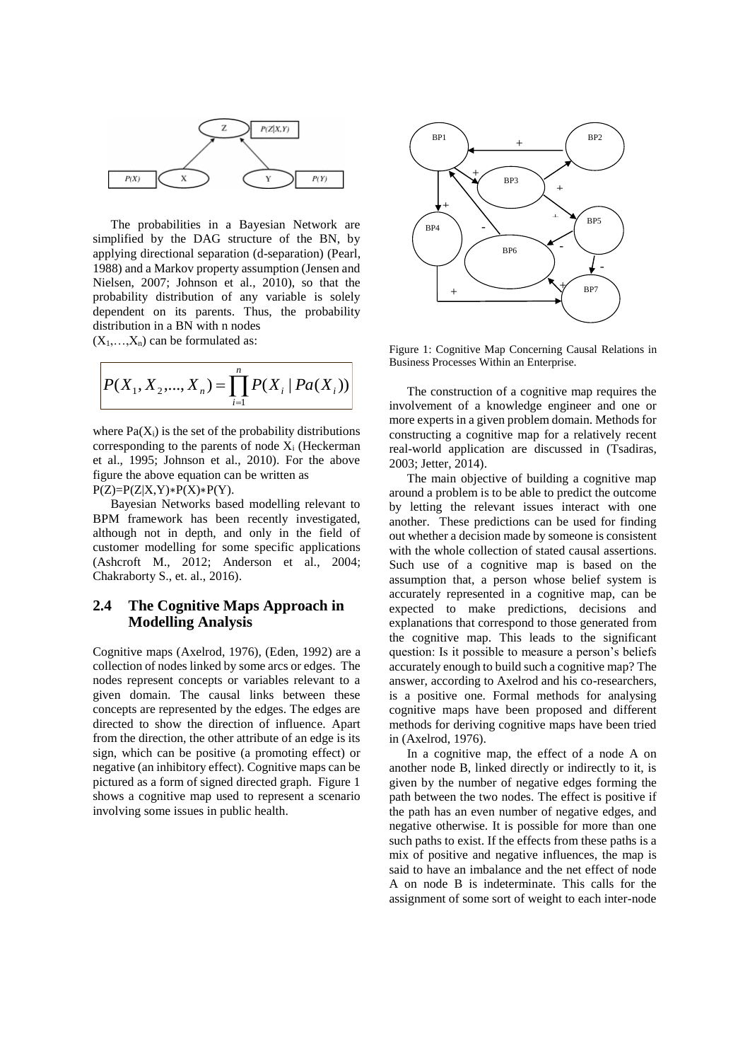

The probabilities in a Bayesian Network are simplified by the DAG structure of the BN, by applying directional separation (d-separation) (Pearl, 1988) and a Markov property assumption (Jensen and Nielsen, 2007; Johnson et al., 2010), so that the probability distribution of any variable is solely dependent on its parents. Thus, the probability distribution in a BN with n nodes  $(X_1,...,X_n)$  can be formulated as:

$$
P(X_1, X_2, ..., X_n) = \prod_{i=1}^n P(X_i | Pa(X_i))
$$

where  $Pa(X_i)$  is the set of the probability distributions corresponding to the parents of node  $X_i$  (Heckerman et al., 1995; Johnson et al., 2010). For the above figure the above equation can be written as  $P(Z)=P(Z|X,Y)*P(X)*P(Y).$ 

Bayesian Networks based modelling relevant to BPM framework has been recently investigated, although not in depth, and only in the field of customer modelling for some specific applications (Ashcroft M., 2012; Anderson et al., 2004; Chakraborty S., et. al., 2016).

## **2.4 The Cognitive Maps Approach in Modelling Analysis**

Cognitive maps (Axelrod, 1976), (Eden, 1992) are a collection of nodes linked by some arcs or edges. The nodes represent concepts or variables relevant to a given domain. The causal links between these concepts are represented by the edges. The edges are directed to show the direction of influence. Apart from the direction, the other attribute of an edge is its sign, which can be positive (a promoting effect) or negative (an inhibitory effect). Cognitive maps can be pictured as a form of signed directed graph. Figure 1 shows a cognitive map used to represent a scenario involving some issues in public health.



Figure 1: Cognitive Map Concerning Causal Relations in Business Processes Within an Enterprise.

The construction of a cognitive map requires the involvement of a knowledge engineer and one or more experts in a given problem domain. Methods for constructing a cognitive map for a relatively recent real-world application are discussed in (Tsadiras, 2003; Jetter, 2014).

The main objective of building a cognitive map around a problem is to be able to predict the outcome by letting the relevant issues interact with one another. These predictions can be used for finding out whether a decision made by someone is consistent with the whole collection of stated causal assertions. Such use of a cognitive map is based on the assumption that, a person whose belief system is accurately represented in a cognitive map, can be expected to make predictions, decisions and explanations that correspond to those generated from the cognitive map. This leads to the significant question: Is it possible to measure a person's beliefs accurately enough to build such a cognitive map? The answer, according to Axelrod and his co-researchers, is a positive one. Formal methods for analysing cognitive maps have been proposed and different methods for deriving cognitive maps have been tried in (Axelrod, 1976).

In a cognitive map, the effect of a node A on another node B, linked directly or indirectly to it, is given by the number of negative edges forming the path between the two nodes. The effect is positive if the path has an even number of negative edges, and negative otherwise. It is possible for more than one such paths to exist. If the effects from these paths is a mix of positive and negative influences, the map is said to have an imbalance and the net effect of node A on node B is indeterminate. This calls for the assignment of some sort of weight to each inter-node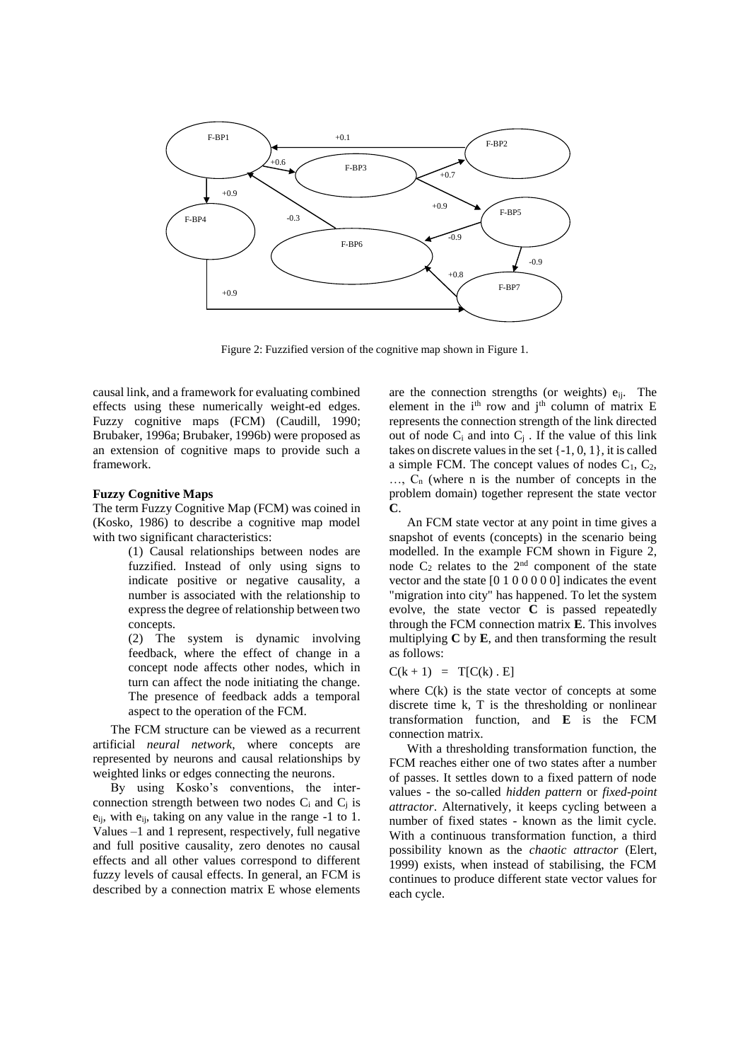

Figure 2: Fuzzified version of the cognitive map shown in Figure 1.

causal link, and a framework for evaluating combined effects using these numerically weight-ed edges. Fuzzy cognitive maps (FCM) (Caudill, 1990; Brubaker, 1996a; Brubaker, 1996b) were proposed as an extension of cognitive maps to provide such a framework.

#### **Fuzzy Cognitive Maps**

The term Fuzzy Cognitive Map (FCM) was coined in (Kosko, 1986) to describe a cognitive map model with two significant characteristics:

> (1) Causal relationships between nodes are fuzzified. Instead of only using signs to indicate positive or negative causality, a number is associated with the relationship to express the degree of relationship between two concepts.

> (2) The system is dynamic involving feedback, where the effect of change in a concept node affects other nodes, which in turn can affect the node initiating the change. The presence of feedback adds a temporal aspect to the operation of the FCM.

The FCM structure can be viewed as a recurrent artificial *neural network*, where concepts are represented by neurons and causal relationships by weighted links or edges connecting the neurons.

By using Kosko's conventions, the interconnection strength between two nodes  $C_i$  and  $C_i$  is  $e_{ii}$ , with  $e_{ii}$ , taking on any value in the range -1 to 1. Values –1 and 1 represent, respectively, full negative and full positive causality, zero denotes no causal effects and all other values correspond to different fuzzy levels of causal effects. In general, an FCM is described by a connection matrix E whose elements

are the connection strengths (or weights)  $e_{ij}$ . The element in the  $i<sup>th</sup>$  row and  $j<sup>th</sup>$  column of matrix E represents the connection strength of the link directed out of node  $C_i$  and into  $C_j$ . If the value of this link takes on discrete values in the set  $\{-1, 0, 1\}$ , it is called a simple FCM. The concept values of nodes  $C_1$ ,  $C_2$ ,  $\ldots$ ,  $C_n$  (where n is the number of concepts in the problem domain) together represent the state vector **C**.

An FCM state vector at any point in time gives a snapshot of events (concepts) in the scenario being modelled. In the example FCM shown in Figure 2, node  $C_2$  relates to the  $2<sup>nd</sup>$  component of the state vector and the state [0 1 0 0 0 0 0] indicates the event "migration into city" has happened. To let the system evolve, the state vector **C** is passed repeatedly through the FCM connection matrix **E**. This involves multiplying **C** by **E**, and then transforming the result as follows:

### $C(k + 1) = T[C(k) . E]$

where  $C(k)$  is the state vector of concepts at some discrete time k, T is the thresholding or nonlinear transformation function, and **E** is the FCM connection matrix.

With a thresholding transformation function, the FCM reaches either one of two states after a number of passes. It settles down to a fixed pattern of node values - the so-called *hidden pattern* or *fixed-point attractor*. Alternatively, it keeps cycling between a number of fixed states - known as the limit cycle. With a continuous transformation function, a third possibility known as the *chaotic attractor* (Elert, 1999) exists, when instead of stabilising, the FCM continues to produce different state vector values for each cycle.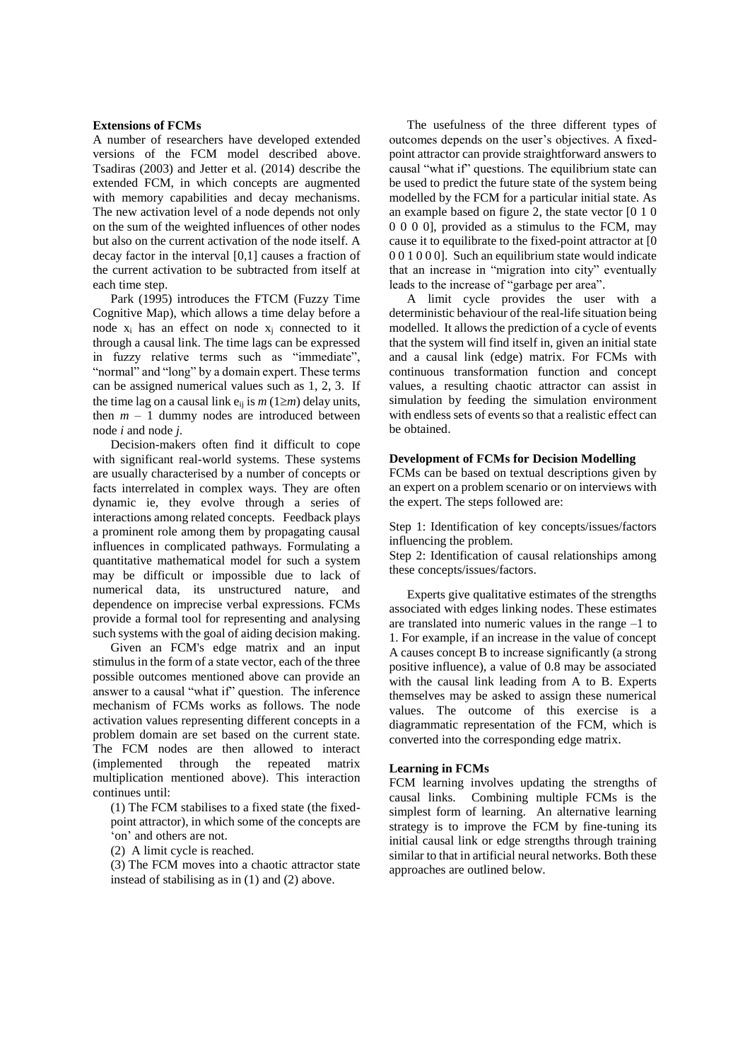#### **Extensions of FCMs**

A number of researchers have developed extended versions of the FCM model described above. Tsadiras (2003) and Jetter et al. (2014) describe the extended FCM, in which concepts are augmented with memory capabilities and decay mechanisms. The new activation level of a node depends not only on the sum of the weighted influences of other nodes but also on the current activation of the node itself. A decay factor in the interval [0,1] causes a fraction of the current activation to be subtracted from itself at each time step.

Park (1995) introduces the FTCM (Fuzzy Time Cognitive Map), which allows a time delay before a node  $x_i$  has an effect on node  $x_i$  connected to it through a causal link. The time lags can be expressed in fuzzy relative terms such as "immediate", "normal" and "long" by a domain expert. These terms can be assigned numerical values such as 1, 2, 3. If the time lag on a causal link  $e_{ij}$  is *m* (1 $\geq m$ ) delay units, then  $m - 1$  dummy nodes are introduced between node *i* and node *j*.

Decision-makers often find it difficult to cope with significant real-world systems. These systems are usually characterised by a number of concepts or facts interrelated in complex ways. They are often dynamic ie, they evolve through a series of interactions among related concepts. Feedback plays a prominent role among them by propagating causal influences in complicated pathways. Formulating a quantitative mathematical model for such a system may be difficult or impossible due to lack of numerical data, its unstructured nature, and dependence on imprecise verbal expressions. FCMs provide a formal tool for representing and analysing such systems with the goal of aiding decision making.

Given an FCM's edge matrix and an input stimulus in the form of a state vector, each of the three possible outcomes mentioned above can provide an answer to a causal "what if" question. The inference mechanism of FCMs works as follows. The node activation values representing different concepts in a problem domain are set based on the current state. The FCM nodes are then allowed to interact (implemented through the repeated matrix multiplication mentioned above). This interaction continues until:

(1) The FCM stabilises to a fixed state (the fixedpoint attractor), in which some of the concepts are 'on' and others are not.

(2) A limit cycle is reached.

(3) The FCM moves into a chaotic attractor state instead of stabilising as in (1) and (2) above.

The usefulness of the three different types of outcomes depends on the user's objectives. A fixedpoint attractor can provide straightforward answers to causal "what if" questions. The equilibrium state can be used to predict the future state of the system being modelled by the FCM for a particular initial state. As an example based on figure 2, the state vector [0 1 0 0 0 0 0], provided as a stimulus to the FCM, may cause it to equilibrate to the fixed-point attractor at [0 0 0 1 0 0 0]. Such an equilibrium state would indicate that an increase in "migration into city" eventually leads to the increase of "garbage per area".

A limit cycle provides the user with a deterministic behaviour of the real-life situation being modelled. It allows the prediction of a cycle of events that the system will find itself in, given an initial state and a causal link (edge) matrix. For FCMs with continuous transformation function and concept values, a resulting chaotic attractor can assist in simulation by feeding the simulation environment with endless sets of events so that a realistic effect can be obtained.

#### **Development of FCMs for Decision Modelling**

FCMs can be based on textual descriptions given by an expert on a problem scenario or on interviews with the expert. The steps followed are:

Step 1: Identification of key concepts/issues/factors influencing the problem.

Step 2: Identification of causal relationships among these concepts/issues/factors.

Experts give qualitative estimates of the strengths associated with edges linking nodes. These estimates are translated into numeric values in the range  $-1$  to 1. For example, if an increase in the value of concept A causes concept B to increase significantly (a strong positive influence), a value of 0.8 may be associated with the causal link leading from A to B. Experts themselves may be asked to assign these numerical values. The outcome of this exercise is a diagrammatic representation of the FCM, which is converted into the corresponding edge matrix.

#### **Learning in FCMs**

FCM learning involves updating the strengths of causal links. Combining multiple FCMs is the simplest form of learning. An alternative learning strategy is to improve the FCM by fine-tuning its initial causal link or edge strengths through training similar to that in artificial neural networks. Both these approaches are outlined below.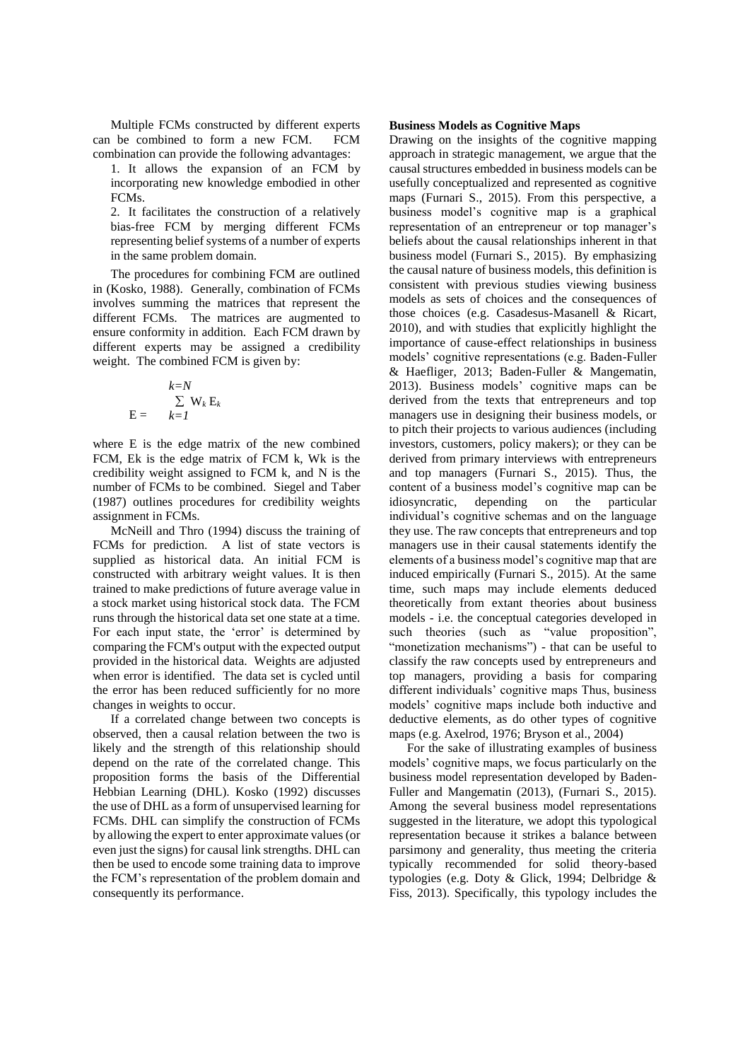Multiple FCMs constructed by different experts can be combined to form a new FCM. FCM combination can provide the following advantages:

1. It allows the expansion of an FCM by incorporating new knowledge embodied in other FCMs.

2. It facilitates the construction of a relatively bias-free FCM by merging different FCMs representing belief systems of a number of experts in the same problem domain.

The procedures for combining FCM are outlined in (Kosko, 1988). Generally, combination of FCMs involves summing the matrices that represent the different FCMs. The matrices are augmented to ensure conformity in addition. Each FCM drawn by different experts may be assigned a credibility weight. The combined FCM is given by:

$$
k=N
$$
  

$$
\sum_{k=1}^{k=N} W_k E_k
$$

where E is the edge matrix of the new combined FCM, Ek is the edge matrix of FCM k, Wk is the credibility weight assigned to FCM k, and N is the number of FCMs to be combined. Siegel and Taber (1987) outlines procedures for credibility weights assignment in FCMs.

McNeill and Thro (1994) discuss the training of FCMs for prediction. A list of state vectors is supplied as historical data. An initial FCM is constructed with arbitrary weight values. It is then trained to make predictions of future average value in a stock market using historical stock data. The FCM runs through the historical data set one state at a time. For each input state, the 'error' is determined by comparing the FCM's output with the expected output provided in the historical data. Weights are adjusted when error is identified. The data set is cycled until the error has been reduced sufficiently for no more changes in weights to occur.

If a correlated change between two concepts is observed, then a causal relation between the two is likely and the strength of this relationship should depend on the rate of the correlated change. This proposition forms the basis of the Differential Hebbian Learning (DHL). Kosko (1992) discusses the use of DHL as a form of unsupervised learning for FCMs. DHL can simplify the construction of FCMs by allowing the expert to enter approximate values (or even just the signs) for causal link strengths. DHL can then be used to encode some training data to improve the FCM's representation of the problem domain and consequently its performance.

#### **Business Models as Cognitive Maps**

Drawing on the insights of the cognitive mapping approach in strategic management, we argue that the causal structures embedded in business models can be usefully conceptualized and represented as cognitive maps (Furnari S., 2015). From this perspective, a business model's cognitive map is a graphical representation of an entrepreneur or top manager's beliefs about the causal relationships inherent in that business model (Furnari S., 2015). By emphasizing the causal nature of business models, this definition is consistent with previous studies viewing business models as sets of choices and the consequences of those choices (e.g. Casadesus-Masanell & Ricart, 2010), and with studies that explicitly highlight the importance of cause-effect relationships in business models' cognitive representations (e.g. Baden-Fuller & Haefliger, 2013; Baden-Fuller & Mangematin, 2013). Business models' cognitive maps can be derived from the texts that entrepreneurs and top managers use in designing their business models, or to pitch their projects to various audiences (including investors, customers, policy makers); or they can be derived from primary interviews with entrepreneurs and top managers (Furnari S., 2015). Thus, the content of a business model's cognitive map can be idiosyncratic, depending on the particular individual's cognitive schemas and on the language they use. The raw concepts that entrepreneurs and top managers use in their causal statements identify the elements of a business model's cognitive map that are induced empirically (Furnari S., 2015). At the same time, such maps may include elements deduced theoretically from extant theories about business models - i.e. the conceptual categories developed in such theories (such as "value proposition", "monetization mechanisms") - that can be useful to classify the raw concepts used by entrepreneurs and top managers, providing a basis for comparing different individuals' cognitive maps Thus, business models' cognitive maps include both inductive and deductive elements, as do other types of cognitive maps (e.g. Axelrod, 1976; Bryson et al., 2004)

For the sake of illustrating examples of business models' cognitive maps, we focus particularly on the business model representation developed by Baden-Fuller and Mangematin (2013), (Furnari S., 2015). Among the several business model representations suggested in the literature, we adopt this typological representation because it strikes a balance between parsimony and generality, thus meeting the criteria typically recommended for solid theory-based typologies (e.g. Doty & Glick, 1994; Delbridge & Fiss, 2013). Specifically, this typology includes the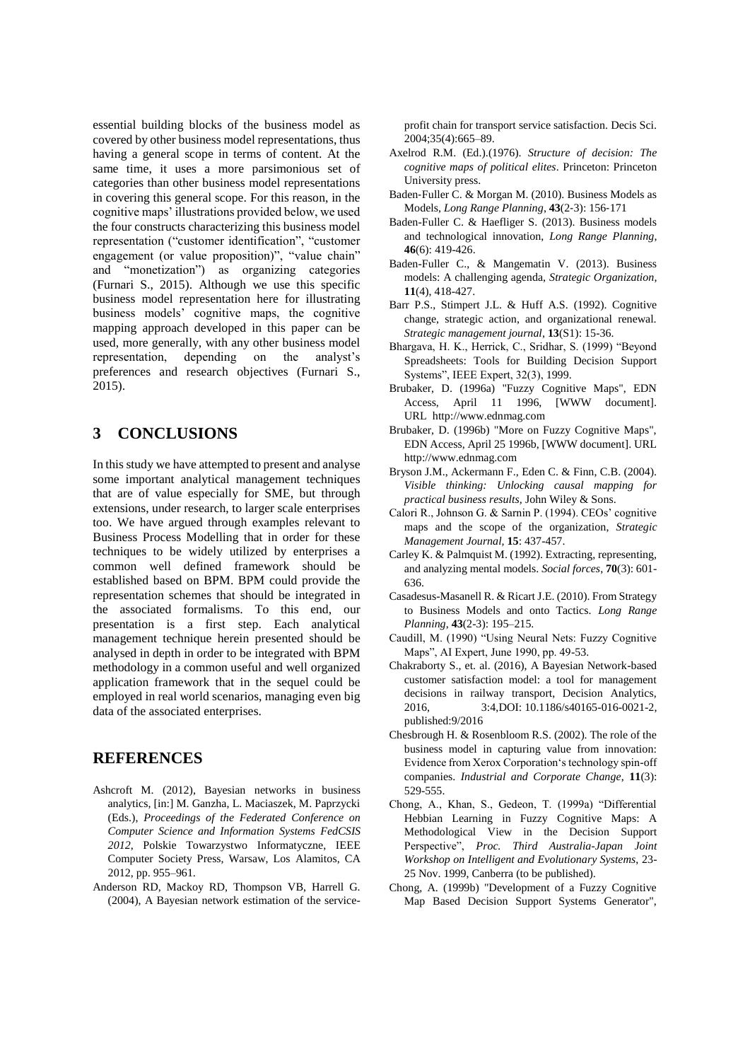essential building blocks of the business model as covered by other business model representations, thus having a general scope in terms of content. At the same time, it uses a more parsimonious set of categories than other business model representations in covering this general scope. For this reason, in the cognitive maps' illustrations provided below, we used the four constructs characterizing this business model representation ("customer identification", "customer engagement (or value proposition)", "value chain" and "monetization") as organizing categories (Furnari S., 2015). Although we use this specific business model representation here for illustrating business models' cognitive maps, the cognitive mapping approach developed in this paper can be used, more generally, with any other business model representation, depending on the analyst's preferences and research objectives (Furnari S., 2015).

# **3 CONCLUSIONS**

In this study we have attempted to present and analyse some important analytical management techniques that are of value especially for SME, but through extensions, under research, to larger scale enterprises too. We have argued through examples relevant to Business Process Modelling that in order for these techniques to be widely utilized by enterprises a common well defined framework should be established based on BPM. BPM could provide the representation schemes that should be integrated in the associated formalisms. To this end, our presentation is a first step. Each analytical management technique herein presented should be analysed in depth in order to be integrated with BPM methodology in a common useful and well organized application framework that in the sequel could be employed in real world scenarios, managing even big data of the associated enterprises.

# **REFERENCES**

- Ashcroft M. (2012), Bayesian networks in business analytics, [in:] M. Ganzha, L. Maciaszek, M. Paprzycki (Eds.), *Proceedings of the Federated Conference on Computer Science and Information Systems FedCSIS 2012*, Polskie Towarzystwo Informatyczne, IEEE Computer Society Press, Warsaw, Los Alamitos, CA 2012, pp. 955–961.
- Anderson RD, Mackoy RD, Thompson VB, Harrell G. (2004), A Bayesian network estimation of the service-

profit chain for transport service satisfaction. Decis Sci. 2004;35(4):665–89.

- Axelrod R.M. (Ed.).(1976). *Structure of decision: The cognitive maps of political elites*. Princeton: Princeton University press.
- Baden‐Fuller C. & Morgan M. (2010). Business Models as Models, *Long Range Planning*, **43**(2‐3): 156‐171
- Baden-Fuller C. & Haefliger S. (2013). Business models and technological innovation, *Long Range Planning*, **46**(6): 419-426.
- Baden-Fuller C., & Mangematin V. (2013). Business models: A challenging agenda, *Strategic Organization*, **11**(4), 418-427.
- Barr P.S., Stimpert J.L. & Huff A.S. (1992). Cognitive change, strategic action, and organizational renewal. *Strategic management journal*, **13**(S1): 15-36.
- Bhargava, H. K., Herrick, C., Sridhar, S. (1999) "Beyond Spreadsheets: Tools for Building Decision Support Systems", IEEE Expert, 32(3), 1999.
- Brubaker, D. (1996a) "Fuzzy Cognitive Maps", EDN Access, April 11 1996, [WWW document]. URL http://www.ednmag.com
- Brubaker, D. (1996b) "More on Fuzzy Cognitive Maps", EDN Access, April 25 1996b, [WWW document]. URL http://www.ednmag.com
- Bryson J.M., Ackermann F., Eden C. & Finn, C.B. (2004). *Visible thinking: Unlocking causal mapping for practical business results,* John Wiley & Sons.
- Calori R., Johnson G. & Sarnin P. (1994). CEOs' cognitive maps and the scope of the organization, *Strategic Management Journal,* **15**: 437-457.
- Carley K. & Palmquist M. (1992). Extracting, representing, and analyzing mental models. *Social forces*, **70**(3): 601- 636.
- Casadesus-Masanell R. & Ricart J.E. (2010). From Strategy to Business Models and onto Tactics. *Long Range Planning*, **43**(2-3): 195–215.
- Caudill, M. (1990) "Using Neural Nets: Fuzzy Cognitive Maps", AI Expert, June 1990, pp. 49-53.
- Chakraborty S., et. al. (2016), A Bayesian Network-based customer satisfaction model: a tool for management decisions in railway transport, Decision Analytics, 2016, 3:4,DOI: 10.1186/s40165-016-0021-2, published:9/2016
- Chesbrough H. & Rosenbloom R.S. (2002). The role of the business model in capturing value from innovation: Evidence from Xerox Corporation's technology spin-off companies. *Industrial and Corporate Change*, **11**(3): 529-555.
- Chong, A., Khan, S., Gedeon, T. (1999a) "Differential Hebbian Learning in Fuzzy Cognitive Maps: A Methodological View in the Decision Support Perspective", *Proc. Third Australia-Japan Joint Workshop on Intelligent and Evolutionary Systems*, 23- 25 Nov. 1999, Canberra (to be published).
- Chong, A. (1999b) "Development of a Fuzzy Cognitive Map Based Decision Support Systems Generator",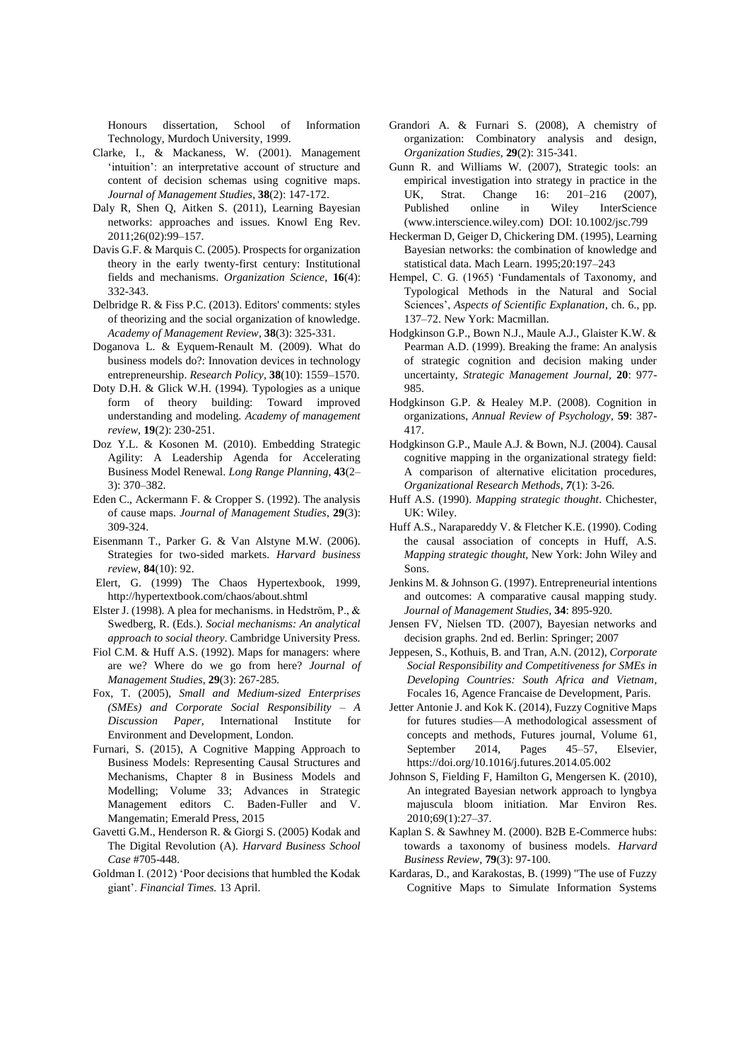Honours dissertation, School of Information Technology, Murdoch University, 1999.

- Clarke, I., & Mackaness, W. (2001). Management 'intuition': an interpretative account of structure and content of decision schemas using cognitive maps. *Journal of Management Studies*, **38**(2): 147-172.
- Daly R, Shen Q, Aitken S. (2011), Learning Bayesian networks: approaches and issues. Knowl Eng Rev. 2011;26(02):99–157.
- Davis G.F. & Marquis C. (2005). Prospects for organization theory in the early twenty-first century: Institutional fields and mechanisms. *Organization Science*, **16**(4): 332-343.
- Delbridge R. & Fiss P.C. (2013). Editors' comments: styles of theorizing and the social organization of knowledge. *Academy of Management Review*, **38**(3): 325-331.
- Doganova L. & Eyquem-Renault M. (2009). What do business models do?: Innovation devices in technology entrepreneurship. *Research Policy*, **38**(10): 1559–1570.
- Doty D.H. & Glick W.H. (1994). Typologies as a unique form of theory building: Toward improved understanding and modeling. *Academy of management review*, **19**(2): 230-251.
- Doz Y.L. & Kosonen M. (2010). Embedding Strategic Agility: A Leadership Agenda for Accelerating Business Model Renewal. *Long Range Planning*, **43**(2– 3): 370–382.
- Eden C., Ackermann F. & Cropper S. (1992). The analysis of cause maps. *Journal of Management Studies*, **29**(3): 309-324.
- Eisenmann T., Parker G. & Van Alstyne M.W. (2006). Strategies for two-sided markets. *Harvard business review*, **84**(10): 92.
- Elert, G. (1999) The Chaos Hypertexbook, 1999, http://hypertextbook.com/chaos/about.shtml
- Elster J. (1998). A plea for mechanisms. in Hedström, P., & Swedberg, R. (Eds.). *Social mechanisms: An analytical approach to social theory*. Cambridge University Press.
- Fiol C.M. & Huff A.S. (1992). Maps for managers: where are we? Where do we go from here? *Journal of Management Studies*, **29**(3): 267-285.
- Fox, T. (2005), *Small and Medium-sized Enterprises (SMEs) and Corporate Social Responsibility – A Discussion Paper*, International Institute for Environment and Development, London.
- Furnari, S. (2015), A Cognitive Mapping Approach to Business Models: Representing Causal Structures and Mechanisms, Chapter 8 in Business Models and Modelling; Volume 33; Advances in Strategic Management editors C. Baden-Fuller and V. Mangematin; Emerald Press, 2015
- Gavetti G.M., Henderson R. & Giorgi S. (2005) Kodak and The Digital Revolution (A). *Harvard Business School Case* #705-448.
- Goldman I. (2012) 'Poor decisions that humbled the Kodak giant'. *Financial Times.* 13 April.
- Grandori A. & Furnari S. (2008), A chemistry of organization: Combinatory analysis and design, *Organization Studies,* **29**(2): 315-341.
- Gunn R. and Williams W. (2007), Strategic tools: an empirical investigation into strategy in practice in the UK, Strat. Change 16: 201–216 (2007), Published online in Wiley InterScience (www.interscience.wiley.com) DOI: 10.1002/jsc.799
- Heckerman D, Geiger D, Chickering DM. (1995), Learning Bayesian networks: the combination of knowledge and statistical data. Mach Learn. 1995;20:197–243
- Hempel, C. G. (1965) 'Fundamentals of Taxonomy, and Typological Methods in the Natural and Social Sciences', *Aspects of Scientific Explanation*, ch. 6., pp. 137–72. New York: Macmillan.
- Hodgkinson G.P., Bown N.J., Maule A.J., Glaister K.W. & Pearman A.D. (1999). Breaking the frame: An analysis of strategic cognition and decision making under uncertainty, *Strategic Management Journal,* **20**: 977- 985.
- Hodgkinson G.P. & Healey M.P. (2008). Cognition in organizations, *Annual Review of Psychology,* **59**: 387- 417.
- Hodgkinson G.P., Maule A.J. & Bown, N.J. (2004). Causal cognitive mapping in the organizational strategy field: A comparison of alternative elicitation procedures, *Organizational Research Methods*, *7*(1): 3-26.
- Huff A.S. (1990). *Mapping strategic thought*. Chichester, UK: Wiley.
- Huff A.S., Narapareddy V. & Fletcher K.E. (1990). Coding the causal association of concepts in Huff, A.S. *Mapping strategic thought,* New York: John Wiley and Sons.
- Jenkins M. & Johnson G. (1997). Entrepreneurial intentions and outcomes: A comparative causal mapping study. *Journal of Management Studies,* **34**: 895-920.
- Jensen FV, Nielsen TD. (2007), Bayesian networks and decision graphs. 2nd ed. Berlin: Springer; 2007
- Jeppesen, S., Kothuis, B. and Tran, A.N. (2012), *Corporate Social Responsibility and Competitiveness for SMEs in Developing Countries: South Africa and Vietnam*, Focales 16, Agence Francaise de Development, Paris.
- Jetter Antonie J. and Kok K. (2014), Fuzzy Cognitive Maps for futures studies—A methodological assessment of concepts and methods, Futures journal, Volume 61, September 2014, Pages 45–57, Elsevier, https://doi.org/10.1016/j.futures.2014.05.002
- Johnson S, Fielding F, Hamilton G, Mengersen K. (2010), An integrated Bayesian network approach to lyngbya majuscula bloom initiation. Mar Environ Res. 2010;69(1):27–37.
- Kaplan S. & Sawhney M. (2000). B2B E-Commerce hubs: towards a taxonomy of business models. *Harvard Business Review*, **79**(3): 97-100.
- Kardaras, D., and Karakostas, B. (1999) "The use of Fuzzy Cognitive Maps to Simulate Information Systems